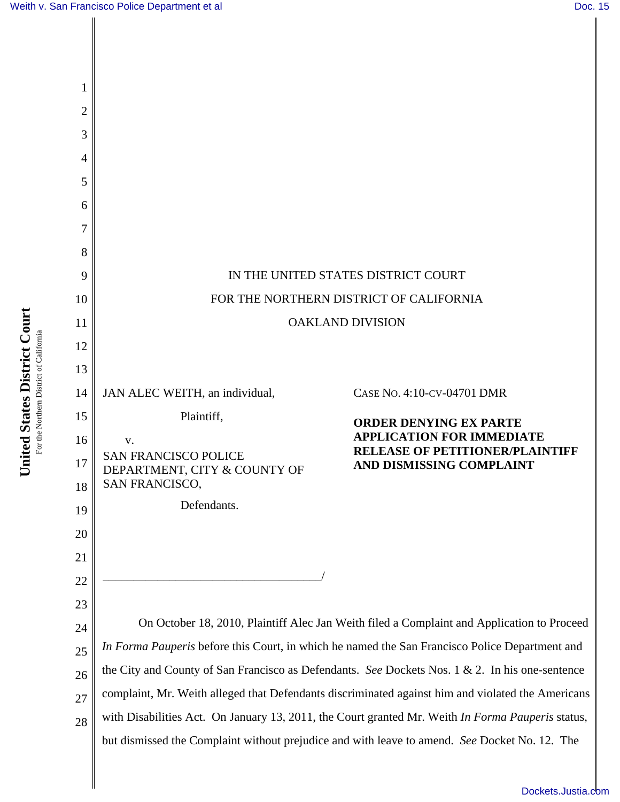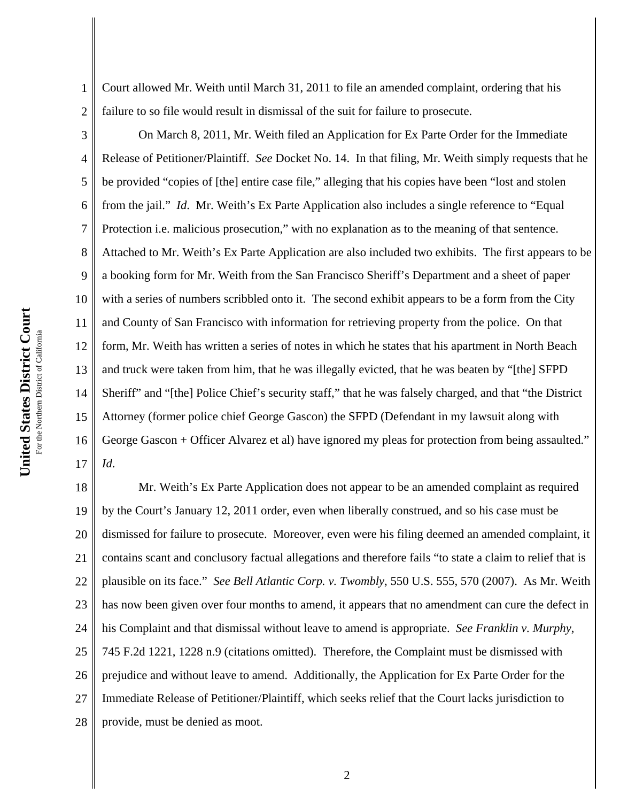1

2

5

8

11

Court allowed Mr. Weith until March 31, 2011 to file an amended complaint, ordering that his failure to so file would result in dismissal of the suit for failure to prosecute.

3 4 6 7 9 10 12 13 14 15 16 17 On March 8, 2011, Mr. Weith filed an Application for Ex Parte Order for the Immediate Release of Petitioner/Plaintiff. *See* Docket No. 14. In that filing, Mr. Weith simply requests that he be provided "copies of [the] entire case file," alleging that his copies have been "lost and stolen from the jail." *Id*. Mr. Weith's Ex Parte Application also includes a single reference to "Equal Protection i.e. malicious prosecution," with no explanation as to the meaning of that sentence. Attached to Mr. Weith's Ex Parte Application are also included two exhibits. The first appears to be a booking form for Mr. Weith from the San Francisco Sheriff's Department and a sheet of paper with a series of numbers scribbled onto it. The second exhibit appears to be a form from the City and County of San Francisco with information for retrieving property from the police. On that form, Mr. Weith has written a series of notes in which he states that his apartment in North Beach and truck were taken from him, that he was illegally evicted, that he was beaten by "[the] SFPD Sheriff" and "[the] Police Chief's security staff," that he was falsely charged, and that "the District Attorney (former police chief George Gascon) the SFPD (Defendant in my lawsuit along with George Gascon + Officer Alvarez et al) have ignored my pleas for protection from being assaulted." *Id*.

18 19 20 21 22 23 24 25 26 27 28 Mr. Weith's Ex Parte Application does not appear to be an amended complaint as required by the Court's January 12, 2011 order, even when liberally construed, and so his case must be dismissed for failure to prosecute. Moreover, even were his filing deemed an amended complaint, it contains scant and conclusory factual allegations and therefore fails "to state a claim to relief that is plausible on its face." *See Bell Atlantic Corp. v. Twombly*, 550 U.S. 555, 570 (2007). As Mr. Weith has now been given over four months to amend, it appears that no amendment can cure the defect in his Complaint and that dismissal without leave to amend is appropriate. *See Franklin v. Murphy*, 745 F.2d 1221, 1228 n.9 (citations omitted). Therefore, the Complaint must be dismissed with prejudice and without leave to amend. Additionally, the Application for Ex Parte Order for the Immediate Release of Petitioner/Plaintiff, which seeks relief that the Court lacks jurisdiction to provide, must be denied as moot.